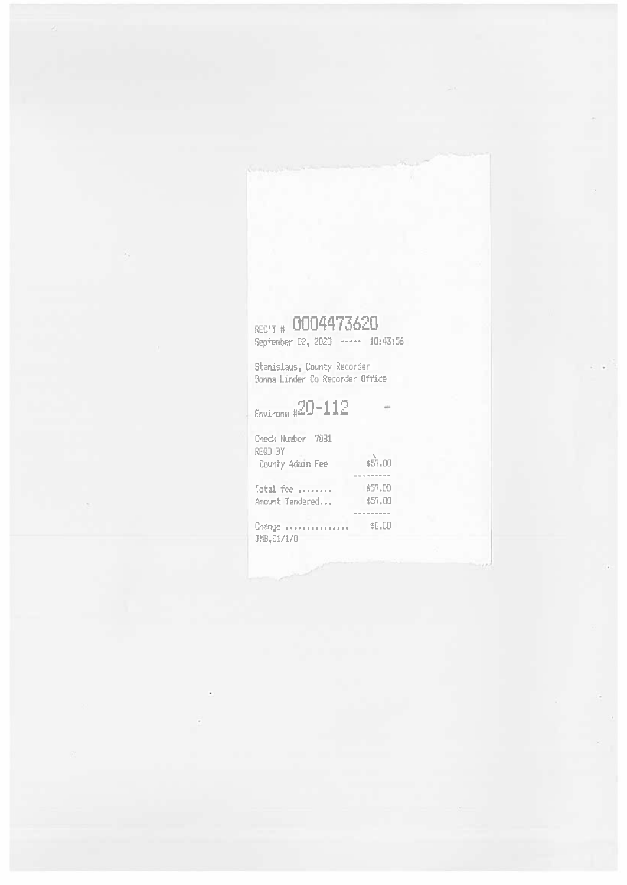# REC'T # 0004473620<br>September 02, 2020 <mark>1111– 10:</mark>43:56

Stanislaus, County Recorder Donna Linder Co Recorder Office

**Environat <sup>8</sup>^0 lltl**

| Check Number 7081<br><b>REGD BY</b> |                    |
|-------------------------------------|--------------------|
| County Admin Fee                    | \$57.00            |
|                                     | and send that have |
| Total fee                           | \$57.00            |
| Amount Tendered                     | \$57.00            |
|                                     |                    |
| Change<br>JMB, C1/1/0               | \$0.00             |
|                                     |                    |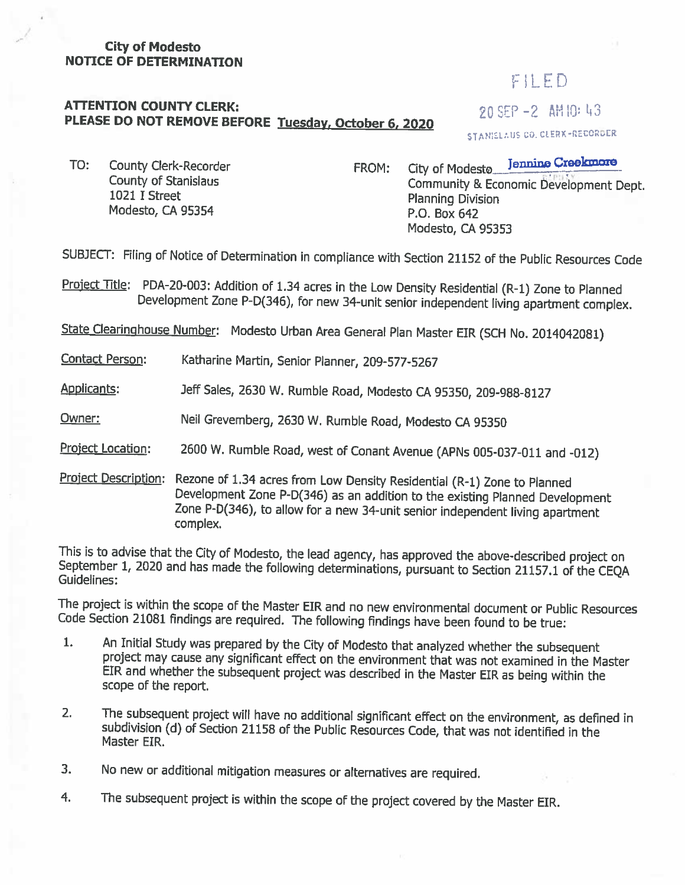#### **City of Modesto NOTICE OF DETERMINATION**

## FILED

## **ATTENTION COUNTY CLERK:**<br> **PLEASE DO NOT REMOVE BEFORE Tuesday, October 6, 2020** 20 SEP -2 AM 10: 43

STANISLAUS CO. CLERK-RECORDER

County of Stanislaus 1021 I Street Modesto, CA 95354

TO: County Clerk-Recorder **CRECOREGIST FROM:** City of Modeste Jenning Creekings City of Modesto Community & Economic Development Dept. Planning Division P.O. Box 642 Modesto, CA 95353

SUBJECT: Filing of Notice of Determination in compliance with Section <sup>21152</sup> of the Public Resources Code

Project Title: PDA-20-003: Addition of 1.34 acres in the Low Density Residential (R-1) Zone to Planned<br>Development Zone P-D(346), for new 34-unit senior independent living apartment complex.

State Clearinghouse Number: Modesto Urban Area General Plan Master EIR (SCH No. <sup>2014042081</sup>)

Contact Person: Katharine Martin, Senior Planner, <sup>209</sup>-577-<sup>5267</sup>

Applicants: Jeff Sales, <sup>2630</sup> <sup>W</sup>. Rumble Road, Modesto CA <sup>95350</sup>, <sup>209</sup>-988-<sup>8127</sup>

Owner: Neil Grevemberg, 2630 W. Rumble Road, Modesto CA 95350

Project Location: 2600 W. Rumble Road, west of Conant Avenue (APNs 005-037-011 and -012)

Project Description: Rezone of 1.34 acres from Low Density Residential (R-1) Zone to Planned<br>Development Zone P-D(346) as an addition to the existing Planned Development<br>Zone P-D(346), to allow for a new 34-unit senior ind

This is to advise that the City of Modesto, the lead agency, has approved the above-described project on September 1, 2020 and has made the following determinations, pursuant to Section 21157.1 of the CEQA Guidelines:

The project is within the scope of the Master EIR and no new environmental document or Public Resources Code Section <sup>21081</sup> findings are required. The following findings have been found to be true:

- An Initial Study was prepared by the City of Modesto that analyzed whether the subsequent project may cause any significant effect on the environment that was not examined in the Master EIR and whether the subsequent proje **1.**
- The subsequent project will have no additional significant effect on the environment, as defined in subdivision (d) of Section 21158 of the Public Resources Code, that was not identified in the Master EIR. 2**.**
- No new or additional mitigation measures or alternatives are required. 3.
- The subsequent project is within the scope of the project covered by the Master EIR. 4.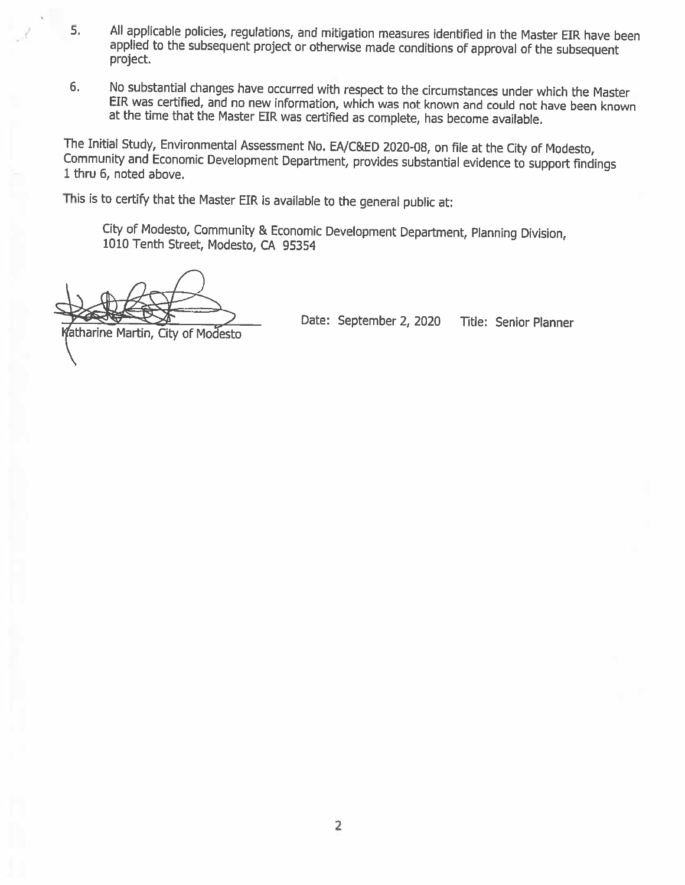- All applicable policies, regulations, and mitigation measures identified in the Master EIR have been applied to the subsequent project or otherwise made conditions of approval of the subsequent project. 5**.**
- No substantial changes have occurred with respect to the circumstances under which the Master EIR was certified, and no new information, which was not known and could not have been known at the time that the Master EIR was **6.**

The Initial Study, Environmental Assessment No. EA/C&ED <sup>2020</sup>-08, on file at the City of Modesto, Community and Economic Development Department, provides substantial evidence to support findings <sup>1</sup>thru <sup>6</sup>, noted above.

This is to certify that the Master EIR is available to the general public at:

City of Modesto, Community & Economic Development Department, Planning Division, <sup>1010</sup> Tenth Street, Modesto, CA <sup>95354</sup>

Date: September 2, 2020 Title: Senior Planner<br>Katharine Martin, City of Modesto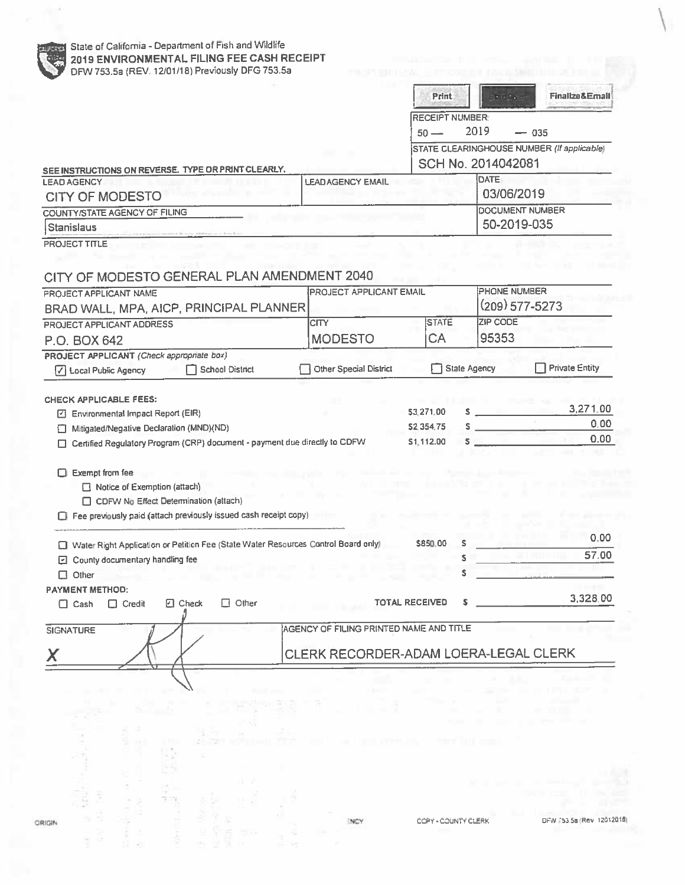| SEE INSTRUCTIONS ON REVERSE. TYPE OR PRINT CLEARLY.<br><b>LEAD AGENCY</b><br><b>CITY OF MODESTO</b><br><b>COUNTY/STATE AGENCY OF FILING</b><br><b>Stanislaus</b><br>PROJECT TITLE |                              |                                         | <b>RECEIPT NUMBER:</b><br>$50 -$                                 |                             |                       |
|-----------------------------------------------------------------------------------------------------------------------------------------------------------------------------------|------------------------------|-----------------------------------------|------------------------------------------------------------------|-----------------------------|-----------------------|
|                                                                                                                                                                                   |                              |                                         |                                                                  | 2019                        | $-035$                |
|                                                                                                                                                                                   |                              |                                         |                                                                  |                             |                       |
|                                                                                                                                                                                   |                              |                                         | STATE CLEARINGHOUSE NUMBER (If applicable)<br>SCH No. 2014042081 |                             |                       |
|                                                                                                                                                                                   |                              | <b>LEADAGENCY EMAIL</b>                 |                                                                  | DATE                        |                       |
|                                                                                                                                                                                   |                              |                                         |                                                                  | 03/06/2019                  |                       |
|                                                                                                                                                                                   |                              |                                         |                                                                  |                             | DOCUMENT NUMBER       |
|                                                                                                                                                                                   |                              |                                         |                                                                  |                             | 50-2019-035           |
|                                                                                                                                                                                   |                              |                                         |                                                                  |                             |                       |
|                                                                                                                                                                                   |                              |                                         |                                                                  |                             |                       |
| CITY OF MODESTO GENERAL PLAN AMENDMENT 2040                                                                                                                                       |                              |                                         |                                                                  |                             |                       |
|                                                                                                                                                                                   |                              |                                         |                                                                  | <b>PHONE NUMBER</b>         |                       |
| PROJECT APPLICANT NAME                                                                                                                                                            |                              | PROJECT APPLICANT EMAIL                 |                                                                  |                             | $(209)$ 577-5273      |
| BRAD WALL, MPA, AICP, PRINCIPAL PLANNER                                                                                                                                           |                              |                                         |                                                                  |                             |                       |
| PROJECT APPLICANT ADDRESS                                                                                                                                                         |                              | <b>CITY</b>                             | <b>STATE</b>                                                     | <b>ZIP CODE</b>             |                       |
| P.O. BOX 642                                                                                                                                                                      |                              | <b>MODESTO</b>                          | <b>CA</b>                                                        | 95353                       |                       |
| PROJECT APPLICANT (Check appropriate box)                                                                                                                                         |                              |                                         |                                                                  |                             |                       |
| <b>7</b> Local Public Agency                                                                                                                                                      | <b>School District</b>       | Other Special District                  |                                                                  | <b>State Agency</b>         | <b>Private Entity</b> |
|                                                                                                                                                                                   |                              |                                         |                                                                  |                             |                       |
| <b>CHECK APPLICABLE FEES:</b>                                                                                                                                                     |                              |                                         | \$3,271.00                                                       | $\sim$ $\sim$ $\sim$ $\sim$ | 3,271.00              |
| Environmental Impact Report (EIR)<br>ఆ                                                                                                                                            |                              |                                         |                                                                  |                             | 0.00                  |
| Mitigated/Negative Declaration (MND)(ND)<br>ப<br>Certified Regulatory Program (CRP) document - payment due directly to CDFW                                                       |                              |                                         | \$2,354.75<br>\$1,112.00                                         | s<br>s                      | 0.00                  |
| CDFW No Effect Determination (attach)<br>Fee previously paid (attach previously issued cash receipt copy)                                                                         |                              |                                         |                                                                  |                             |                       |
|                                                                                                                                                                                   |                              |                                         |                                                                  |                             | 0.00                  |
| Water Right Application or Petition Fee (State Water Resources Control Board only)                                                                                                |                              |                                         | \$850.00<br>s<br>s                                               |                             | 57.00                 |
| 回 County documentary handling fee                                                                                                                                                 |                              |                                         |                                                                  |                             |                       |
| $\Box$ Other                                                                                                                                                                      |                              |                                         |                                                                  |                             |                       |
| <b>PAYMENT METHOD:</b><br>$\Box$ Cash<br>$\Box$ Credit                                                                                                                            | $\Box$ Check<br>$\Box$ Other |                                         | <b>TOTAL RECEIVED</b>                                            |                             | 3,328.00              |
|                                                                                                                                                                                   |                              |                                         |                                                                  |                             |                       |
|                                                                                                                                                                                   |                              | AGENCY OF FILING PRINTED NAME AND TITLE |                                                                  |                             |                       |
| <b>SIGNATURE</b>                                                                                                                                                                  |                              | CLERK RECORDER-ADAM LOERA-LEGAL CLERK   |                                                                  |                             |                       |

 $\overline{\phantom{a}^{\prime}}$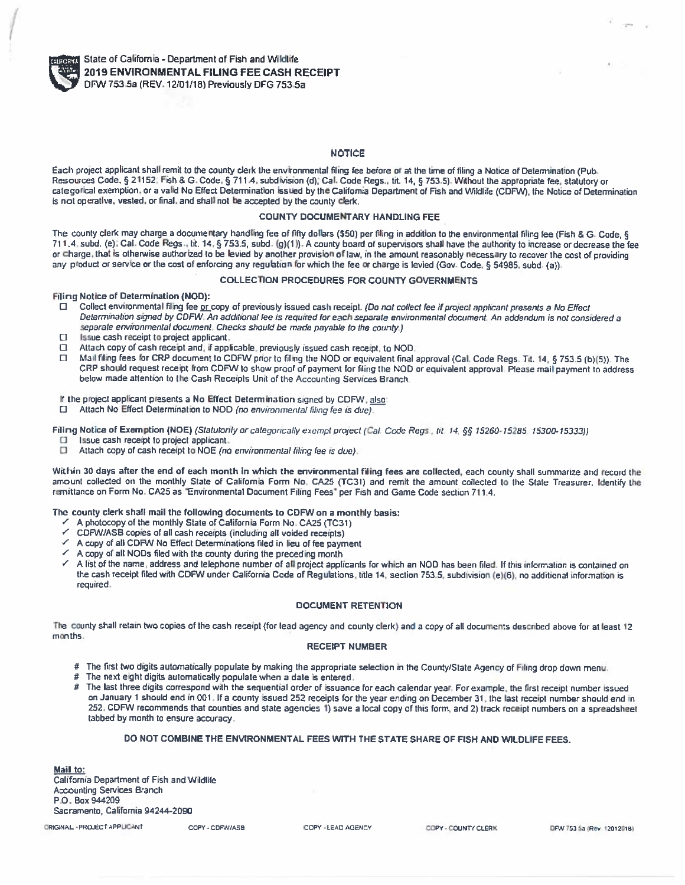

/*:*

#### **NOTICE**

Each project applicant shall remit to the county clerk the environmental filing for<br>Benevised Code, 8,21153; Fish & C. Code, 8,711.4, subdivision (d): Cel. Code Each project applicant shall remit to the county clerk the environmental filing fee before or at the time of filing a Notice of Determination (Pub.<br>Resources Code, § 21152; Fish & G. Code, § 711.4, subdivision (d); Cal. Co categorical exemption, or a valid No Effect Determination issued by the California Department of Fish and Wildlife (CDFW), the Notice of Determination<br>is not precitive, vested, or final, and shall not be accepted by the co is not operative, vested, or final, and shall not be accepted by the county clerk.

## COUNTY DOCUMENTARY HANDLING FEE

The county clerk may charge a documentary handling fee of fifty dollars (\$50) per filing in addition to the environmental filing fee (Fish & 14) and the environmental filing fee (Fish & 14) and the environmental filing fee The county clerk may charge a documentary handling fee of fifty dollars (\$50) per filing in addition to the environmental filing fee (Fish & G. Code, §<br>711.4, subd. (e), Cal. Code Regs., tit. 14, § 753.5, subd. (g)(1)). A or charge, that is otherwise authorized to be levied by another provision of law, in the amount reasonably necessary to recover the cost of providing<br>any product or service or the cost of enforcing any requision for which any product or service or the cost of enforcing any regulation for which the fee or charge is levied (Gov Code, § <sup>54985</sup>, subd (a))

## COLLECTION PROCEDURES FOR COUNTY GOVERNMENTS

FilingNotice of Determination (NOD):

- $\Box$ Collect environmental filing fee or copy of previously issued cash receipt. (Do<br>Determination circual by COEM: An additional fee is required for each concrete Collect environmental filing fee <u>or </u>copy of previously issued cash receipt. (Do not collect fee if project applicant presents a No Effect<br>Determination signed by CDFW. An additional fee is required for each separate envi *separate environmental document Checks should be made payable to the county )*
- $\Box$ Issue cash receipt to project applicant.
- Issue cash receipt to project applicant.<br>Attach copy of cash receipt and, if applicable, previously issued cash receipt, to NOD<br>Mail filipo fees for CPB document to CDEM nies to filipo the NOD or countalent fied  $\Box$
- Attach copy of cash receipt and, if applicable, previously issued cash receipt, to NO<br>Mail filing fees for CRP document to CDFW prior to filing the NOD or equivalent fin:<br>CBP should request receipt from CDFW to show proof  $\Box$ Mail filing fees for CRP document to CDFW prior to filing the NOD or equivalent final approval (Cal. Code Regs. Tit. 14, § 753.5 (b)(5)). The<br>CRP should request receipt from CDFW to show proof of payment for filing the NOD CRP should request receipt from CDFW to show proof of payment for filing the NOI<br>below made attention to the Cash Receipts Unit of the Accounting Services Branch.

If the project applicant presents <sup>a</sup> No Effect Determination signed by CDFW, also

Attach No Effect Determination to NOD *(no environmental filing fee is due)*

Filing Notice of Exemption (NOE) (Statutorily or categorically exempt project (Cal. Code Regs., tit. 14, §§ 15260-15285, 15300-15333))<br>El a lasua caso receipt to project applicant

- Issue cash receipt to project applicant.
- Attach copy of cash receipt to NOE *(no environmental filing fee is due)*

Within 30 days after the end of each month in which the environmental filing fees are collected, each county shall summarize and<br>amount collected on the monthly State of California Form No. CA25 (TC31) and ramit the amount Within 30 days after the end of each month in which the environmental filing fees are collected, each county shall summarize and record the<br>amount collected on the monthly State of California Form No, CA25 (TC31) and remit remittance on Form No. CA<sup>25</sup> as "Environmental Document Filing Fees'per Fish and Game Code section 711.4.

## The county clerk shall mail the following documents to CDFW on a monthly basis:<br>  $\checkmark$  A photocopy of the monthly State of California Form No. CA25 (TC31)

- *s*A photocopy of the monthly State of California Form No. CA25 (TC31)
- $\leq$  A photocopy of the monthly State of California Form No. CA25 (TC31)<br>  $\leq$  CDFW/ASB copies of all cash receipts (including all voided receipts)<br>  $\leq$  A copy of all CDBM No Effect Determinations filed in linu of for *S*
- *s*← A copy of all CDFW<br>← A copy of all NODs  $\leq$  A copy of all CDFW No Effect Determinations filed in lieu of fee payment<br> $\leq$  A copy of all NODs filed with the county during the preceding month<br> $\leq$  A list of the name, address and telephone number of all projec
- *s*
- *\**A list of the name, address and telephone number of all project applicants for which an NOD has been filed. If this information is contained on<br>the cash receipt filed with CDFW under California Code of Regulations, title required.

## DOCUMENT RETENTION

The county shall retain two copies of the cash receipt (for lead agency and county clerk) and a copy of all documents described above for at least 12<br>months months.

#### RECEIPT NUMBER

- # The first two digits automatically populate by making the appropriate selection in the County/State Agency of Filing drop down menu<br># The next eight digits automatically populate when a date is entered.
- #The next eght digits automatically populate when <sup>a</sup> date is entered.
- #The last three digits correspond with the sequential order of issuance for each calendar year. For example, the first receipt number issued<br>The last the very analytic receipted 252 receipte for the very analytic an Decembe on January <sup>1</sup> should end in 001.If <sup>a</sup> county issued <sup>252</sup> receipts for the year ending on December <sup>31</sup>. the last receipt number should end *<sup>n</sup>* 252, CDFW recommends that counties and state agencies 1) save a local copy of this form, and 2) track receipt numbers on a spreadsheel<br>tabbed by month to ensure accuracy. tabbed by month to ensure accuracy

## DO NOT COMBINE THE ENVIRONMENTAL FEES WITH THE STATE SHARE OF FISH AND WILDLIFE FEES.<br>...

**Mail to:** California Department of Fish andWildlife Accounting Services Branch<br>B.O. Bay 844399 P.O. Box <sup>944209</sup>Sacramento, California 94244-<sup>2090</sup>

ORIGINAL - PROJECT APPUCANT COPY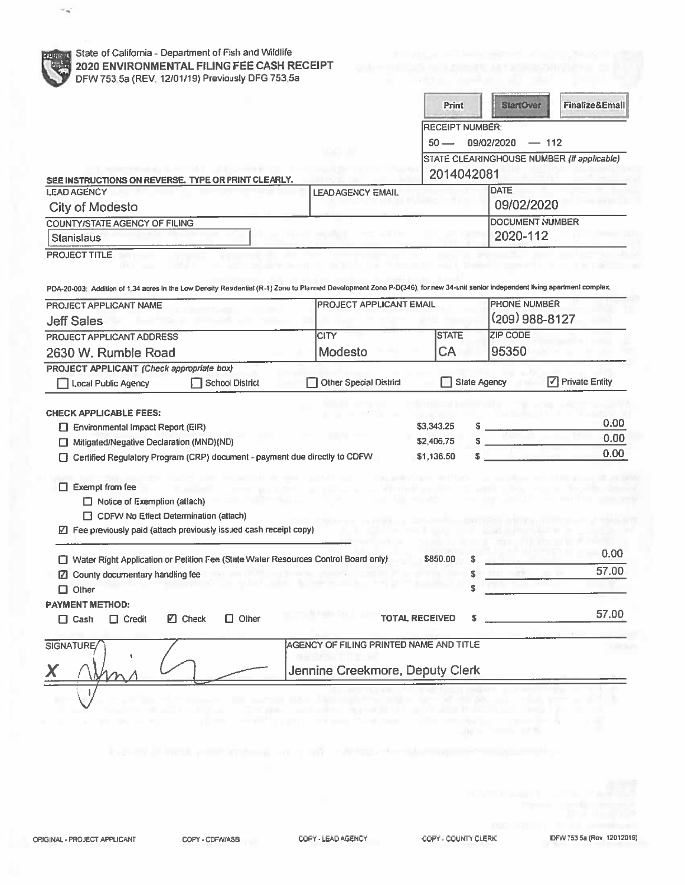|                                                                                                                                                                                                                                                        |                                | Print                                  | StartOver           | Finalize&Email                             |  |
|--------------------------------------------------------------------------------------------------------------------------------------------------------------------------------------------------------------------------------------------------------|--------------------------------|----------------------------------------|---------------------|--------------------------------------------|--|
|                                                                                                                                                                                                                                                        |                                | <b>RECEIPT NUMBER:</b>                 |                     |                                            |  |
|                                                                                                                                                                                                                                                        |                                | $50 -$                                 | 09/02/2020          | $-112$                                     |  |
|                                                                                                                                                                                                                                                        |                                | 2014042081                             |                     | STATE CLEARINGHOUSE NUMBER (If applicable) |  |
| SEE INSTRUCTIONS ON REVERSE. TYPE OR PRINT CLEARLY.<br><b>LEAD AGENCY</b>                                                                                                                                                                              | <b>LEADAGENCY EMAIL</b>        |                                        | DATE                |                                            |  |
| <b>City of Modesto</b>                                                                                                                                                                                                                                 |                                |                                        | 09/02/2020          |                                            |  |
| <b>COUNTY/STATE AGENCY OF FILING</b>                                                                                                                                                                                                                   |                                | <b>DOCUMENT NUMBER</b>                 |                     |                                            |  |
| <b>Stanislaus</b>                                                                                                                                                                                                                                      |                                |                                        | 2020-112            |                                            |  |
| PROJECT TITLE<br>PDA-20-003; Addition of 1,34 acres in the Low Density Residential (R-1) Zone to Planned Development Zone P-D(346), for new 34-unit senior independent living apartment complex.                                                       |                                |                                        |                     |                                            |  |
| PROJECT APPLICANT NAME                                                                                                                                                                                                                                 | <b>PROJECT APPLICANT EMAIL</b> |                                        | <b>PHONE NUMBER</b> |                                            |  |
| <b>Jeff Sales</b>                                                                                                                                                                                                                                      |                                |                                        | (209) 988-8127      |                                            |  |
| PROJECT APPLICANT ADDRESS                                                                                                                                                                                                                              | CITY                           | <b>STATE</b>                           | <b>ZIP CODE</b>     |                                            |  |
| 2630 W. Rumble Road                                                                                                                                                                                                                                    | Modesto                        | CA                                     | 95350               |                                            |  |
|                                                                                                                                                                                                                                                        |                                |                                        |                     |                                            |  |
| <b>School District</b><br>Local Public Agency                                                                                                                                                                                                          | <b>Other Special District</b>  |                                        | <b>State Agency</b> | $\sqrt{}$ Private Entity                   |  |
| <b>PROJECT APPLICANT (Check appropriate box)</b><br><b>CHECK APPLICABLE FEES:</b><br>Environmental Impact Report (EIR)<br>Mitigated/Negative Declaration (MND)(ND)<br>LI<br>Certified Regulatory Program (CRP) document - payment due directly to CDFW |                                | \$3,343.25<br>\$2,406.75<br>\$1,136.50 |                     |                                            |  |
| $\Box$ Exempt from fee<br>$\Box$ Notice of Exemption (attach)<br>CDFW No Effect Determination (attach)<br>☑ Fee previously paid (attach previously issued cash receipt copy)                                                                           |                                |                                        |                     | 0.00<br>0.00<br>0.00                       |  |
| □ Water Right Application or Petition Fee (State Water Resources Control Board only)                                                                                                                                                                   |                                | \$850.00                               |                     | 0.00                                       |  |
| ☑ County documentary handling fee                                                                                                                                                                                                                      |                                | s                                      |                     |                                            |  |
| $\Box$ Other                                                                                                                                                                                                                                           |                                | Ŝ                                      |                     | 57.00                                      |  |
| <b>PAYMENT METHOD:</b><br>$\square$ Check<br>Other<br>$\Box$ Cash<br>$\Box$ Credit<br>0                                                                                                                                                                |                                | <b>TOTAL RECEIVED</b><br>\$            |                     | 57.00                                      |  |

 $\overline{\phantom{a}}$